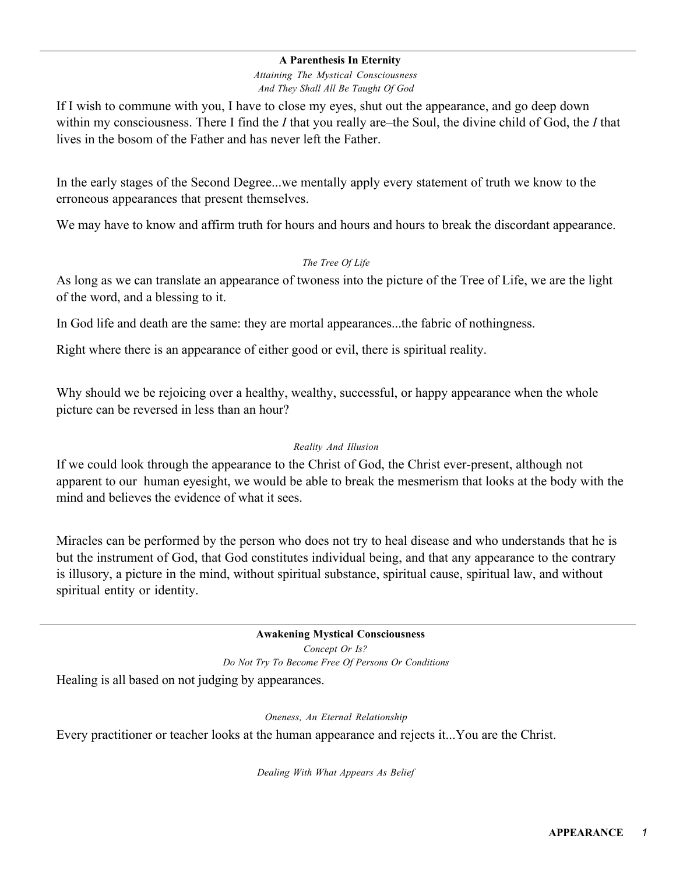#### **A Parenthesis In Eternity**

*Attaining The Mystical Consciousness And They Shall All Be Taught Of God*

If I wish to commune with you, I have to close my eyes, shut out the appearance, and go deep down within my consciousness. There I find the *I* that you really are–the Soul, the divine child of God, the *I* that lives in the bosom of the Father and has never left the Father.

In the early stages of the Second Degree...we mentally apply every statement of truth we know to the erroneous appearances that present themselves.

We may have to know and affirm truth for hours and hours and hours to break the discordant appearance.

## *The Tree Of Life*

As long as we can translate an appearance of twoness into the picture of the Tree of Life, we are the light of the word, and a blessing to it.

In God life and death are the same: they are mortal appearances...the fabric of nothingness.

Right where there is an appearance of either good or evil, there is spiritual reality.

Why should we be rejoicing over a healthy, wealthy, successful, or happy appearance when the whole picture can be reversed in less than an hour?

# *Reality And Illusion*

If we could look through the appearance to the Christ of God, the Christ ever-present, although not apparent to our human eyesight, we would be able to break the mesmerism that looks at the body with the mind and believes the evidence of what it sees.

Miracles can be performed by the person who does not try to heal disease and who understands that he is but the instrument of God, that God constitutes individual being, and that any appearance to the contrary is illusory, a picture in the mind, without spiritual substance, spiritual cause, spiritual law, and without spiritual entity or identity.

**Awakening Mystical Consciousness**

*Concept Or Is? Do Not Try To Become Free Of Persons Or Conditions*

Healing is all based on not judging by appearances.

*Oneness, An Eternal Relationship*

Every practitioner or teacher looks at the human appearance and rejects it...You are the Christ.

*Dealing With What Appears As Belief*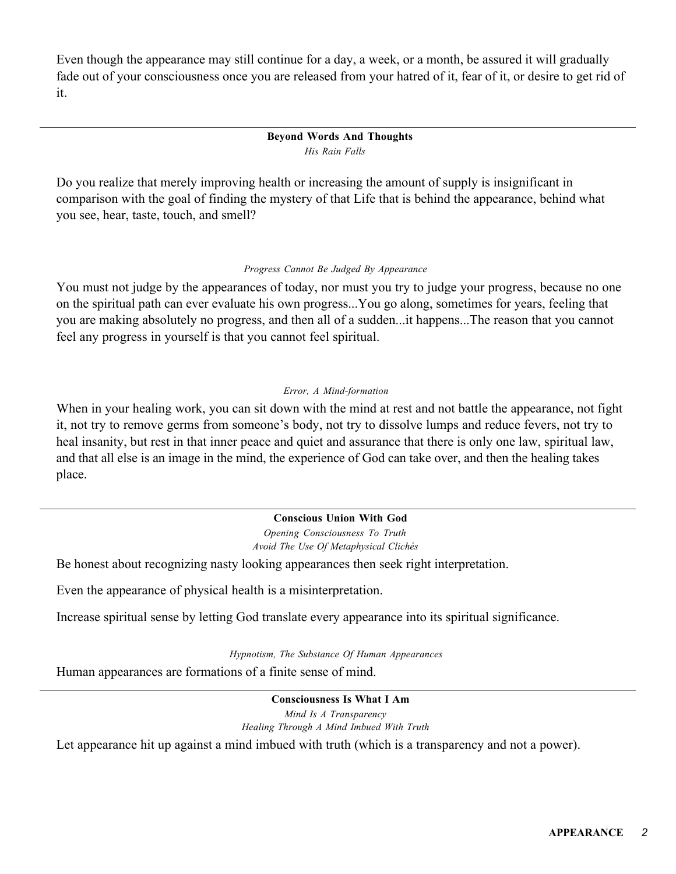Even though the appearance may still continue for a day, a week, or a month, be assured it will gradually fade out of your consciousness once you are released from your hatred of it, fear of it, or desire to get rid of it.

## **Beyond Words And Thoughts** *His Rain Falls*

Do you realize that merely improving health or increasing the amount of supply is insignificant in comparison with the goal of finding the mystery of that Life that is behind the appearance, behind what you see, hear, taste, touch, and smell?

## *Progress Cannot Be Judged By Appearance*

You must not judge by the appearances of today, nor must you try to judge your progress, because no one on the spiritual path can ever evaluate his own progress...You go along, sometimes for years, feeling that you are making absolutely no progress, and then all of a sudden...it happens...The reason that you cannot feel any progress in yourself is that you cannot feel spiritual.

## *Error, A Mind-formation*

When in your healing work, you can sit down with the mind at rest and not battle the appearance, not fight it, not try to remove germs from someone's body, not try to dissolve lumps and reduce fevers, not try to heal insanity, but rest in that inner peace and quiet and assurance that there is only one law, spiritual law, and that all else is an image in the mind, the experience of God can take over, and then the healing takes place.

# **Conscious Union With God**

*Opening Consciousness To Truth Avoid The Use Of Metaphysical Clichés*

Be honest about recognizing nasty looking appearances then seek right interpretation.

Even the appearance of physical health is a misinterpretation.

Increase spiritual sense by letting God translate every appearance into its spiritual significance.

*Hypnotism, The Substance Of Human Appearances*

Human appearances are formations of a finite sense of mind.

# **Consciousness Is What I Am**

*Mind Is A Transparency Healing Through A Mind Imbued With Truth*

Let appearance hit up against a mind imbued with truth (which is a transparency and not a power).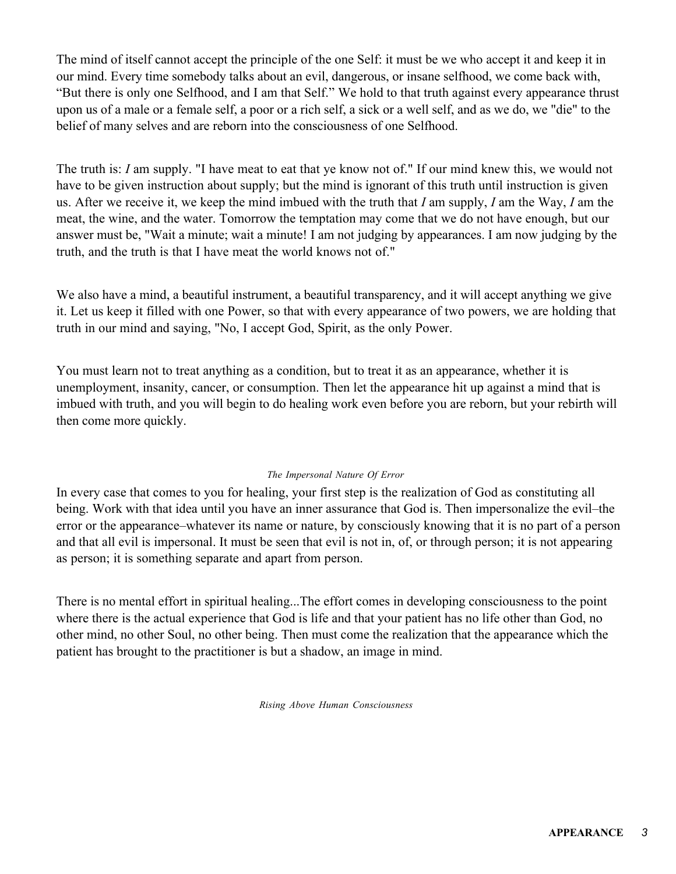The mind of itself cannot accept the principle of the one Self: it must be we who accept it and keep it in our mind. Every time somebody talks about an evil, dangerous, or insane selfhood, we come back with, "But there is only one Selfhood, and I am that Self." We hold to that truth against every appearance thrust upon us of a male or a female self, a poor or a rich self, a sick or a well self, and as we do, we "die" to the belief of many selves and are reborn into the consciousness of one Selfhood.

The truth is: *I* am supply. "I have meat to eat that ye know not of." If our mind knew this, we would not have to be given instruction about supply; but the mind is ignorant of this truth until instruction is given us. After we receive it, we keep the mind imbued with the truth that *I* am supply, *I* am the Way, *I* am the meat, the wine, and the water. Tomorrow the temptation may come that we do not have enough, but our answer must be, "Wait a minute; wait a minute! I am not judging by appearances. I am now judging by the truth, and the truth is that I have meat the world knows not of."

We also have a mind, a beautiful instrument, a beautiful transparency, and it will accept anything we give it. Let us keep it filled with one Power, so that with every appearance of two powers, we are holding that truth in our mind and saying, "No, I accept God, Spirit, as the only Power.

You must learn not to treat anything as a condition, but to treat it as an appearance, whether it is unemployment, insanity, cancer, or consumption. Then let the appearance hit up against a mind that is imbued with truth, and you will begin to do healing work even before you are reborn, but your rebirth will then come more quickly.

# *The Impersonal Nature Of Error*

In every case that comes to you for healing, your first step is the realization of God as constituting all being. Work with that idea until you have an inner assurance that God is. Then impersonalize the evil–the error or the appearance–whatever its name or nature, by consciously knowing that it is no part of a person and that all evil is impersonal. It must be seen that evil is not in, of, or through person; it is not appearing as person; it is something separate and apart from person.

There is no mental effort in spiritual healing...The effort comes in developing consciousness to the point where there is the actual experience that God is life and that your patient has no life other than God, no other mind, no other Soul, no other being. Then must come the realization that the appearance which the patient has brought to the practitioner is but a shadow, an image in mind.

*Rising Above Human Consciousness*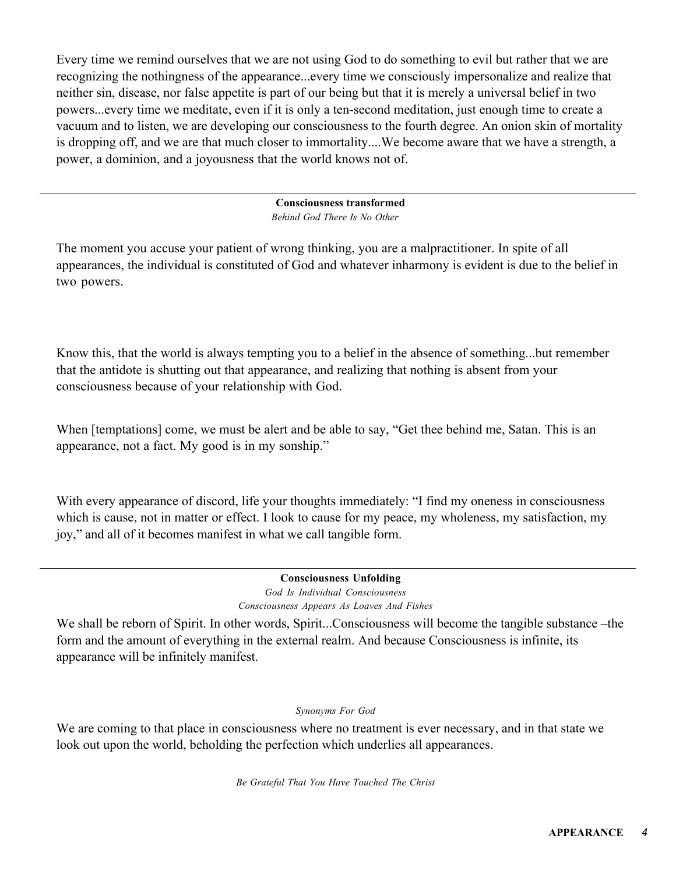Every time we remind ourselves that we are not using God to do something to evil but rather that we are recognizing the nothingness of the appearance...every time we consciously impersonalize and realize that neither sin, disease, nor false appetite is part of our being but that it is merely a universal belief in two powers...every time we meditate, even if it is only a ten-second meditation, just enough time to create a vacuum and to listen, we are developing our consciousness to the fourth degree. An onion skin of mortality is dropping off, and we are that much closer to immortality....We become aware that we have a strength, a power, a dominion, and a joyousness that the world knows not of.

**Consciousness transformed**

*Behind God There Is No Other*

The moment you accuse your patient of wrong thinking, you are a malpractitioner. In spite of all appearances, the individual is constituted of God and whatever inharmony is evident is due to the belief in two powers.

Know this, that the world is always tempting you to a belief in the absence of something...but remember that the antidote is shutting out that appearance, and realizing that nothing is absent from your consciousness because of your relationship with God.

When [temptations] come, we must be alert and be able to say, "Get thee behind me, Satan. This is an appearance, not a fact. My good is in my sonship."

With every appearance of discord, life your thoughts immediately: "I find my oneness in consciousness which is cause, not in matter or effect. I look to cause for my peace, my wholeness, my satisfaction, my joy," and all of it becomes manifest in what we call tangible form.

> **Consciousness Unfolding** *God Is Individual Consciousness Consciousness Appears As Loaves And Fishes*

We shall be reborn of Spirit. In other words, Spirit...Consciousness will become the tangible substance –the form and the amount of everything in the external realm. And because Consciousness is infinite, its appearance will be infinitely manifest.

*Synonyms For God*

We are coming to that place in consciousness where no treatment is ever necessary, and in that state we look out upon the world, beholding the perfection which underlies all appearances.

*Be Grateful That You Have Touched The Christ*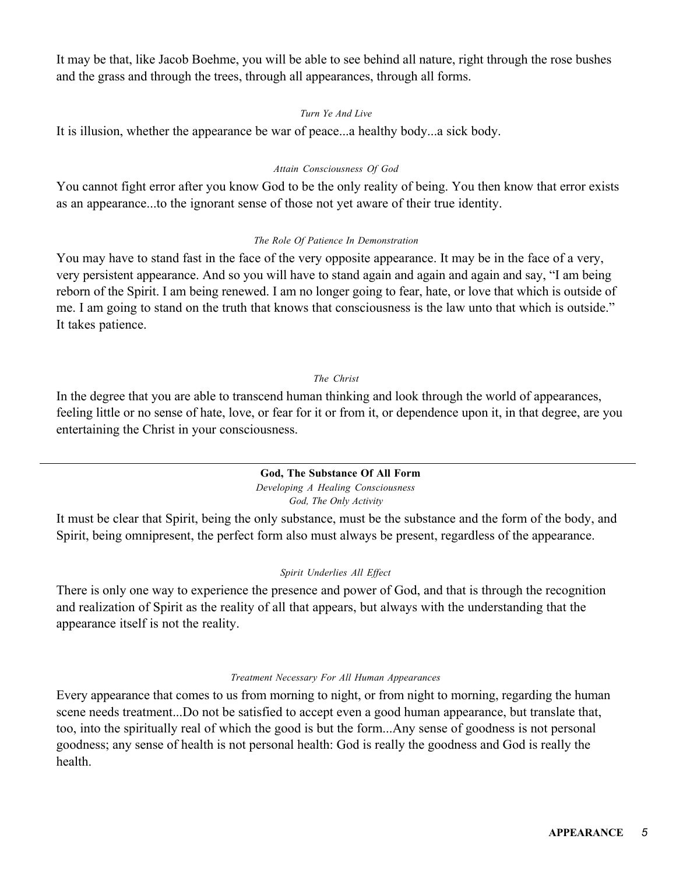It may be that, like Jacob Boehme, you will be able to see behind all nature, right through the rose bushes and the grass and through the trees, through all appearances, through all forms.

#### *Turn Ye And Live*

It is illusion, whether the appearance be war of peace...a healthy body...a sick body.

### *Attain Consciousness Of God*

You cannot fight error after you know God to be the only reality of being. You then know that error exists as an appearance...to the ignorant sense of those not yet aware of their true identity.

#### *The Role Of Patience In Demonstration*

You may have to stand fast in the face of the very opposite appearance. It may be in the face of a very, very persistent appearance. And so you will have to stand again and again and again and say, "I am being reborn of the Spirit. I am being renewed. I am no longer going to fear, hate, or love that which is outside of me. I am going to stand on the truth that knows that consciousness is the law unto that which is outside." It takes patience.

# *The Christ*

In the degree that you are able to transcend human thinking and look through the world of appearances, feeling little or no sense of hate, love, or fear for it or from it, or dependence upon it, in that degree, are you entertaining the Christ in your consciousness.

# **God, The Substance Of All Form**

*Developing A Healing Consciousness God, The Only Activity*

It must be clear that Spirit, being the only substance, must be the substance and the form of the body, and Spirit, being omnipresent, the perfect form also must always be present, regardless of the appearance.

# *Spirit Underlies All Effect*

There is only one way to experience the presence and power of God, and that is through the recognition and realization of Spirit as the reality of all that appears, but always with the understanding that the appearance itself is not the reality.

#### *Treatment Necessary For All Human Appearances*

Every appearance that comes to us from morning to night, or from night to morning, regarding the human scene needs treatment...Do not be satisfied to accept even a good human appearance, but translate that, too, into the spiritually real of which the good is but the form...Any sense of goodness is not personal goodness; any sense of health is not personal health: God is really the goodness and God is really the health.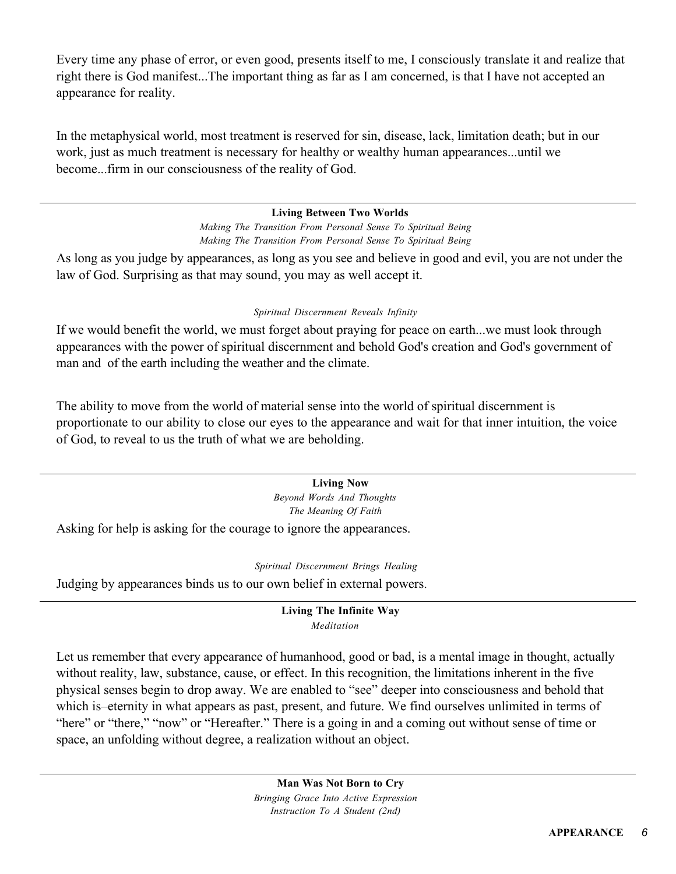Every time any phase of error, or even good, presents itself to me, I consciously translate it and realize that right there is God manifest...The important thing as far as I am concerned, is that I have not accepted an appearance for reality.

In the metaphysical world, most treatment is reserved for sin, disease, lack, limitation death; but in our work, just as much treatment is necessary for healthy or wealthy human appearances...until we become...firm in our consciousness of the reality of God.

# **Living Between Two Worlds**

*Making The Transition From Personal Sense To Spiritual Being Making The Transition From Personal Sense To Spiritual Being*

As long as you judge by appearances, as long as you see and believe in good and evil, you are not under the law of God. Surprising as that may sound, you may as well accept it.

#### *Spiritual Discernment Reveals Infinity*

If we would benefit the world, we must forget about praying for peace on earth...we must look through appearances with the power of spiritual discernment and behold God's creation and God's government of man and of the earth including the weather and the climate.

The ability to move from the world of material sense into the world of spiritual discernment is proportionate to our ability to close our eyes to the appearance and wait for that inner intuition, the voice of God, to reveal to us the truth of what we are beholding.

#### **Living Now** *Beyond Words And Thoughts The Meaning Of Faith*

Asking for help is asking for the courage to ignore the appearances.

#### *Spiritual Discernment Brings Healing*

Judging by appearances binds us to our own belief in external powers.

#### **Living The Infinite Way** *Meditation*

Let us remember that every appearance of humanhood, good or bad, is a mental image in thought, actually without reality, law, substance, cause, or effect. In this recognition, the limitations inherent in the five physical senses begin to drop away. We are enabled to "see" deeper into consciousness and behold that which is–eternity in what appears as past, present, and future. We find ourselves unlimited in terms of "here" or "there," "now" or "Hereafter." There is a going in and a coming out without sense of time or space, an unfolding without degree, a realization without an object.

> **Man Was Not Born to Cry** *Bringing Grace Into Active Expression Instruction To A Student (2nd)*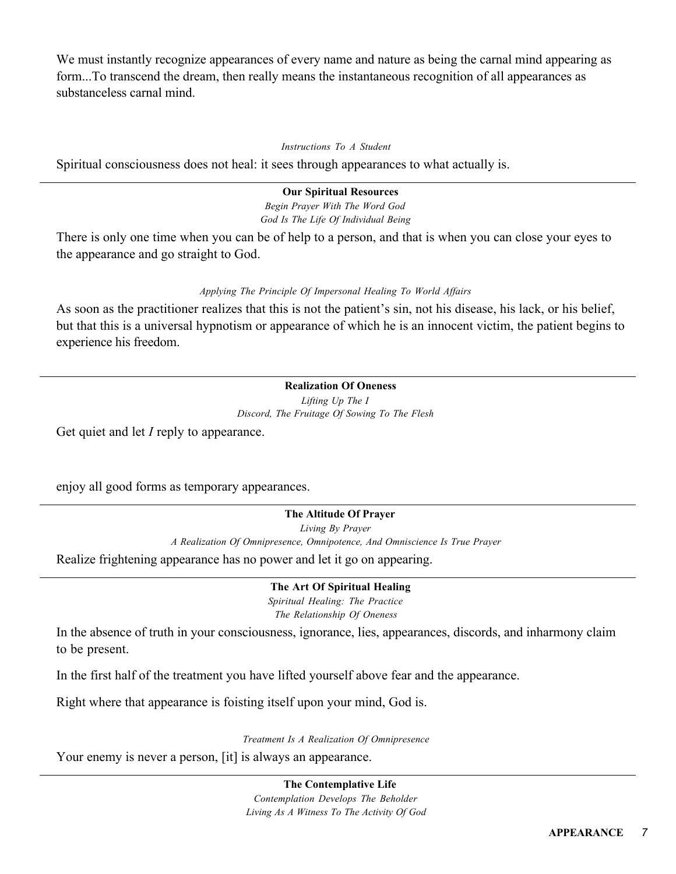We must instantly recognize appearances of every name and nature as being the carnal mind appearing as form...To transcend the dream, then really means the instantaneous recognition of all appearances as substanceless carnal mind.

#### *Instructions To A Student*

Spiritual consciousness does not heal: it sees through appearances to what actually is.

## **Our Spiritual Resources**

*Begin Prayer With The Word God God Is The Life Of Individual Being*

There is only one time when you can be of help to a person, and that is when you can close your eyes to the appearance and go straight to God.

## *Applying The Principle Of Impersonal Healing To World Affairs*

As soon as the practitioner realizes that this is not the patient's sin, not his disease, his lack, or his belief, but that this is a universal hypnotism or appearance of which he is an innocent victim, the patient begins to experience his freedom.

# **Realization Of Oneness**

*Lifting Up The I Discord, The Fruitage Of Sowing To The Flesh*

Get quiet and let *I* reply to appearance.

enjoy all good forms as temporary appearances.

#### **The Altitude Of Prayer**

*Living By Prayer A Realization Of Omnipresence, Omnipotence, And Omniscience Is True Prayer*

Realize frightening appearance has no power and let it go on appearing.

# **The Art Of Spiritual Healing**

*Spiritual Healing: The Practice The Relationship Of Oneness*

In the absence of truth in your consciousness, ignorance, lies, appearances, discords, and inharmony claim to be present.

In the first half of the treatment you have lifted yourself above fear and the appearance.

Right where that appearance is foisting itself upon your mind, God is.

*Treatment Is A Realization Of Omnipresence*

Your enemy is never a person, [it] is always an appearance.

**The Contemplative Life** *Contemplation Develops The Beholder Living As A Witness To The Activity Of God*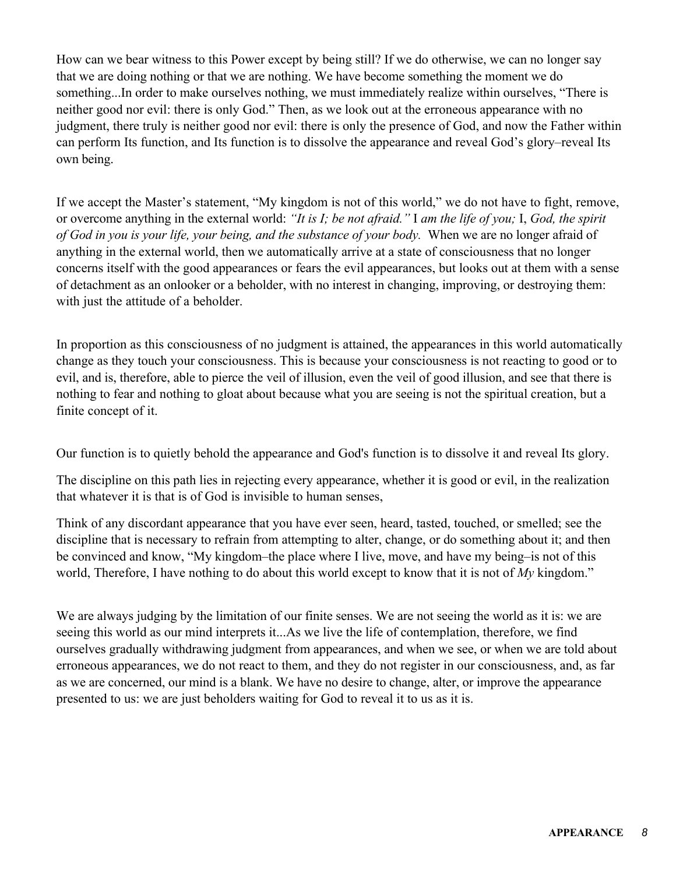How can we bear witness to this Power except by being still? If we do otherwise, we can no longer say that we are doing nothing or that we are nothing. We have become something the moment we do something...In order to make ourselves nothing, we must immediately realize within ourselves, "There is neither good nor evil: there is only God." Then, as we look out at the erroneous appearance with no judgment, there truly is neither good nor evil: there is only the presence of God, and now the Father within can perform Its function, and Its function is to dissolve the appearance and reveal God's glory–reveal Its own being.

If we accept the Master's statement, "My kingdom is not of this world," we do not have to fight, remove, or overcome anything in the external world: *"It is I; be not afraid."* I *am the life of you;* I, *God, the spirit of God in you is your life, your being, and the substance of your body.* When we are no longer afraid of anything in the external world, then we automatically arrive at a state of consciousness that no longer concerns itself with the good appearances or fears the evil appearances, but looks out at them with a sense of detachment as an onlooker or a beholder, with no interest in changing, improving, or destroying them: with just the attitude of a beholder.

In proportion as this consciousness of no judgment is attained, the appearances in this world automatically change as they touch your consciousness. This is because your consciousness is not reacting to good or to evil, and is, therefore, able to pierce the veil of illusion, even the veil of good illusion, and see that there is nothing to fear and nothing to gloat about because what you are seeing is not the spiritual creation, but a finite concept of it.

Our function is to quietly behold the appearance and God's function is to dissolve it and reveal Its glory.

The discipline on this path lies in rejecting every appearance, whether it is good or evil, in the realization that whatever it is that is of God is invisible to human senses,

Think of any discordant appearance that you have ever seen, heard, tasted, touched, or smelled; see the discipline that is necessary to refrain from attempting to alter, change, or do something about it; and then be convinced and know, "My kingdom–the place where I live, move, and have my being–is not of this world, Therefore, I have nothing to do about this world except to know that it is not of *My* kingdom."

We are always judging by the limitation of our finite senses. We are not seeing the world as it is: we are seeing this world as our mind interprets it...As we live the life of contemplation, therefore, we find ourselves gradually withdrawing judgment from appearances, and when we see, or when we are told about erroneous appearances, we do not react to them, and they do not register in our consciousness, and, as far as we are concerned, our mind is a blank. We have no desire to change, alter, or improve the appearance presented to us: we are just beholders waiting for God to reveal it to us as it is.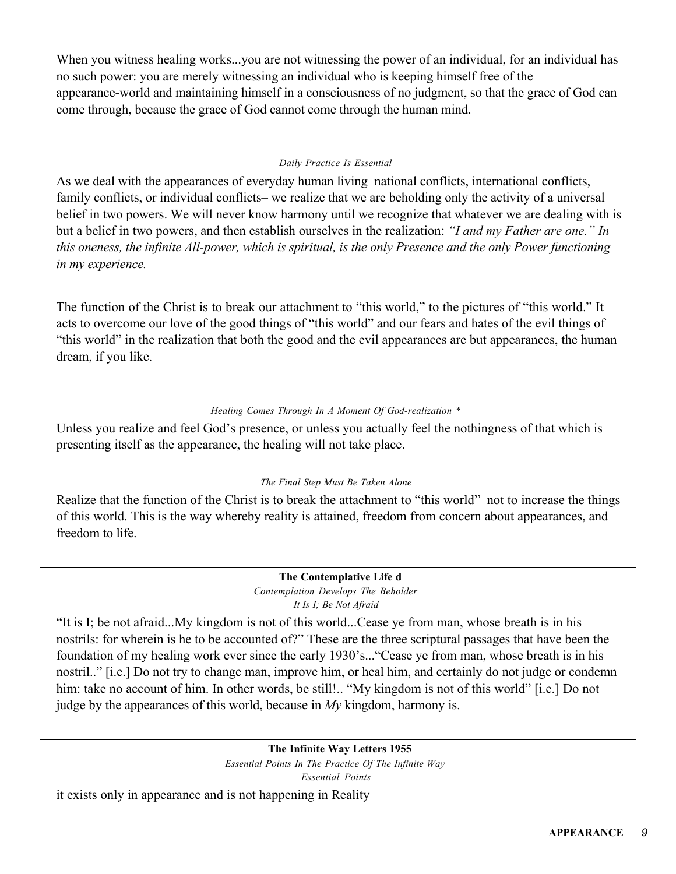When you witness healing works...you are not witnessing the power of an individual, for an individual has no such power: you are merely witnessing an individual who is keeping himself free of the appearance-world and maintaining himself in a consciousness of no judgment, so that the grace of God can come through, because the grace of God cannot come through the human mind.

### *Daily Practice Is Essential*

As we deal with the appearances of everyday human living–national conflicts, international conflicts, family conflicts, or individual conflicts– we realize that we are beholding only the activity of a universal belief in two powers. We will never know harmony until we recognize that whatever we are dealing with is but a belief in two powers, and then establish ourselves in the realization: *"I and my Father are one." In this oneness, the infinite All-power, which is spiritual, is the only Presence and the only Power functioning in my experience.*

The function of the Christ is to break our attachment to "this world," to the pictures of "this world." It acts to overcome our love of the good things of "this world" and our fears and hates of the evil things of "this world" in the realization that both the good and the evil appearances are but appearances, the human dream, if you like.

# *Healing Comes Through In A Moment Of God-realization \**

Unless you realize and feel God's presence, or unless you actually feel the nothingness of that which is presenting itself as the appearance, the healing will not take place.

#### *The Final Step Must Be Taken Alone*

Realize that the function of the Christ is to break the attachment to "this world"–not to increase the things of this world. This is the way whereby reality is attained, freedom from concern about appearances, and freedom to life.

#### **The Contemplative Life d** *Contemplation Develops The Beholder It Is I; Be Not Afraid*

"It is I; be not afraid...My kingdom is not of this world...Cease ye from man, whose breath is in his nostrils: for wherein is he to be accounted of?" These are the three scriptural passages that have been the foundation of my healing work ever since the early 1930's..."Cease ye from man, whose breath is in his nostril.." [i.e.] Do not try to change man, improve him, or heal him, and certainly do not judge or condemn him: take no account of him. In other words, be still!.. "My kingdom is not of this world" [i.e.] Do not judge by the appearances of this world, because in *My* kingdom, harmony is.

# **The Infinite Way Letters 1955**

*Essential Points In The Practice Of The Infinite Way Essential Points*

it exists only in appearance and is not happening in Reality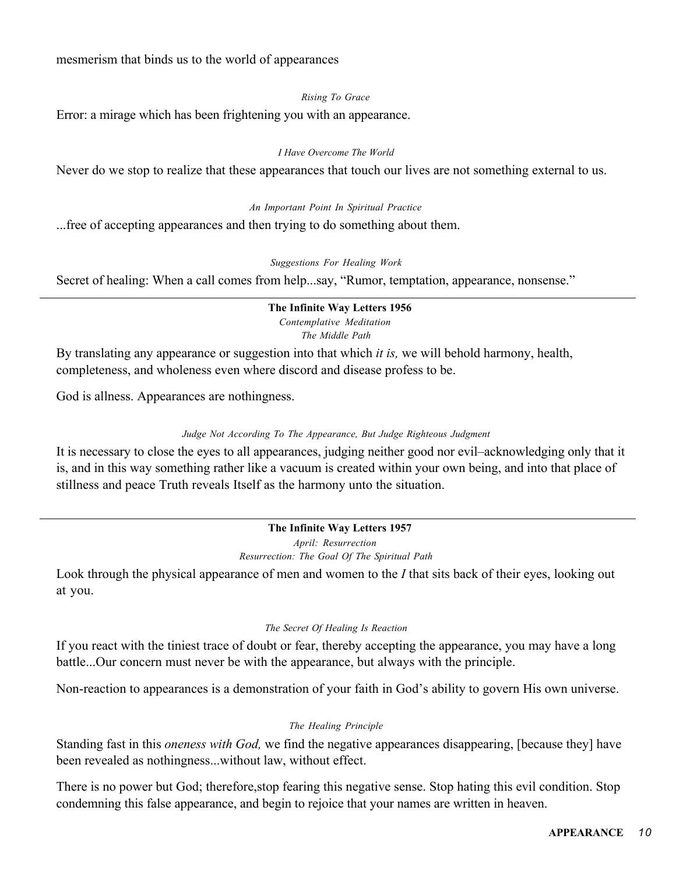mesmerism that binds us to the world of appearances

#### *Rising To Grace*

Error: a mirage which has been frightening you with an appearance.

#### *I Have Overcome The World*

Never do we stop to realize that these appearances that touch our lives are not something external to us.

#### *An Important Point In Spiritual Practice*

...free of accepting appearances and then trying to do something about them.

#### *Suggestions For Healing Work*

Secret of healing: When a call comes from help...say, "Rumor, temptation, appearance, nonsense."

## **The Infinite Way Letters 1956** *Contemplative Meditation The Middle Path*

By translating any appearance or suggestion into that which *it is,* we will behold harmony, health, completeness, and wholeness even where discord and disease profess to be.

God is allness. Appearances are nothingness.

### *Judge Not According To The Appearance, But Judge Righteous Judgment*

It is necessary to close the eyes to all appearances, judging neither good nor evil–acknowledging only that it is, and in this way something rather like a vacuum is created within your own being, and into that place of stillness and peace Truth reveals Itself as the harmony unto the situation.

#### **The Infinite Way Letters 1957** *April: Resurrection Resurrection: The Goal Of The Spiritual Path*

Look through the physical appearance of men and women to the *I* that sits back of their eyes, looking out at you.

#### *The Secret Of Healing Is Reaction*

If you react with the tiniest trace of doubt or fear, thereby accepting the appearance, you may have a long battle...Our concern must never be with the appearance, but always with the principle.

Non-reaction to appearances is a demonstration of your faith in God's ability to govern His own universe.

#### *The Healing Principle*

Standing fast in this *oneness with God,* we find the negative appearances disappearing, [because they] have been revealed as nothingness...without law, without effect.

There is no power but God; therefore,stop fearing this negative sense. Stop hating this evil condition. Stop condemning this false appearance, and begin to rejoice that your names are written in heaven.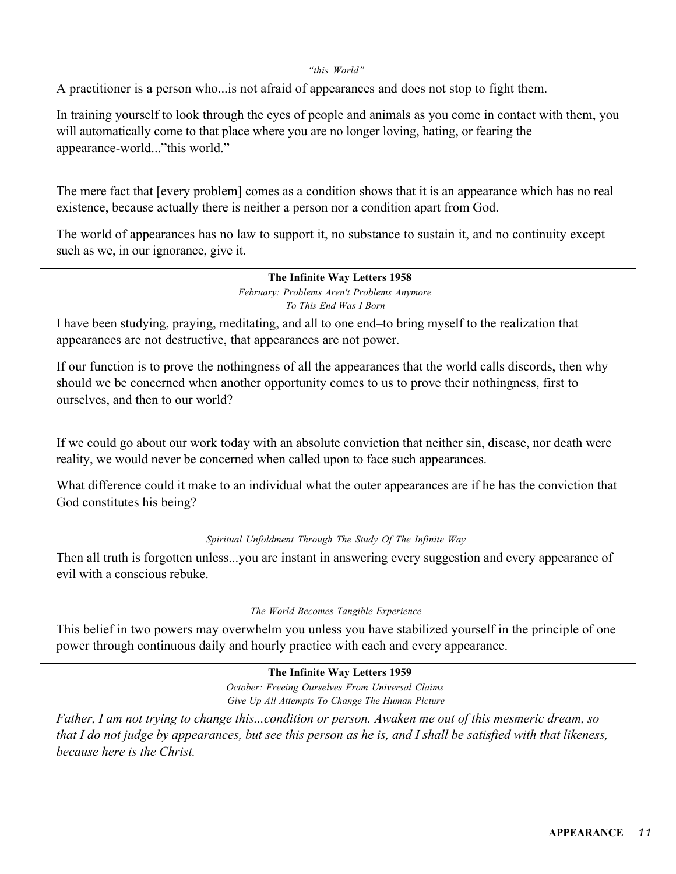#### *"this World"*

A practitioner is a person who...is not afraid of appearances and does not stop to fight them.

In training yourself to look through the eyes of people and animals as you come in contact with them, you will automatically come to that place where you are no longer loving, hating, or fearing the appearance-world..."this world."

The mere fact that [every problem] comes as a condition shows that it is an appearance which has no real existence, because actually there is neither a person nor a condition apart from God.

The world of appearances has no law to support it, no substance to sustain it, and no continuity except such as we, in our ignorance, give it.

> **The Infinite Way Letters 1958** *February: Problems Aren't Problems Anymore To This End Was I Born*

I have been studying, praying, meditating, and all to one end–to bring myself to the realization that appearances are not destructive, that appearances are not power.

If our function is to prove the nothingness of all the appearances that the world calls discords, then why should we be concerned when another opportunity comes to us to prove their nothingness, first to ourselves, and then to our world?

If we could go about our work today with an absolute conviction that neither sin, disease, nor death were reality, we would never be concerned when called upon to face such appearances.

What difference could it make to an individual what the outer appearances are if he has the conviction that God constitutes his being?

#### *Spiritual Unfoldment Through The Study Of The Infinite Way*

Then all truth is forgotten unless...you are instant in answering every suggestion and every appearance of evil with a conscious rebuke.

#### *The World Becomes Tangible Experience*

This belief in two powers may overwhelm you unless you have stabilized yourself in the principle of one power through continuous daily and hourly practice with each and every appearance.

#### **The Infinite Way Letters 1959**

*October: Freeing Ourselves From Universal Claims Give Up All Attempts To Change The Human Picture*

*Father, I am not trying to change this...condition or person. Awaken me out of this mesmeric dream, so that I do not judge by appearances, but see this person as he is, and I shall be satisfied with that likeness, because here is the Christ.*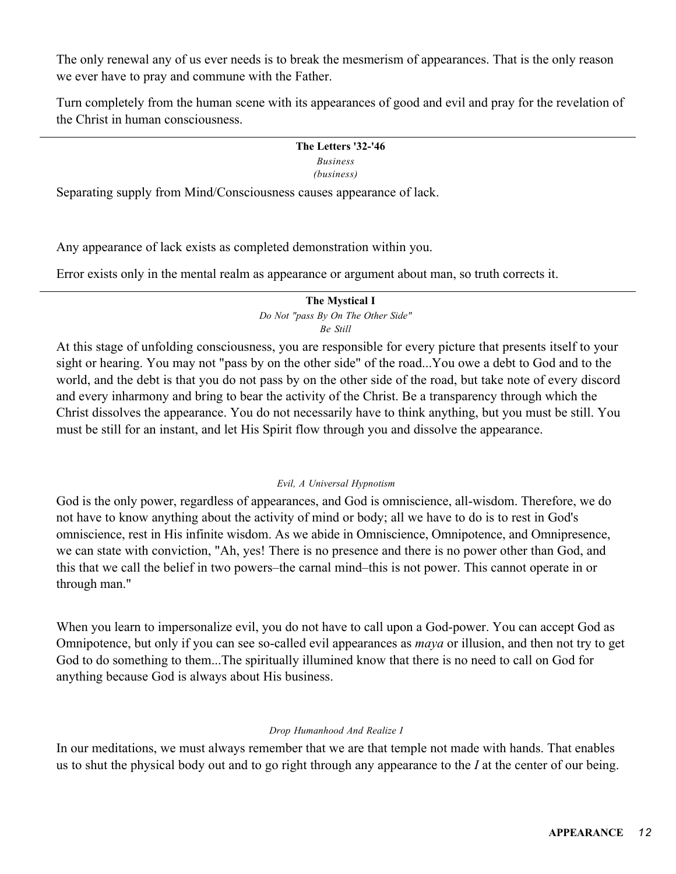The only renewal any of us ever needs is to break the mesmerism of appearances. That is the only reason we ever have to pray and commune with the Father.

Turn completely from the human scene with its appearances of good and evil and pray for the revelation of the Christ in human consciousness.

#### **The Letters '32-'46** *Business*

*(business)*

Separating supply from Mind/Consciousness causes appearance of lack.

Any appearance of lack exists as completed demonstration within you.

Error exists only in the mental realm as appearance or argument about man, so truth corrects it.

# **The Mystical I**

*Do Not "pass By On The Other Side" Be Still*

At this stage of unfolding consciousness, you are responsible for every picture that presents itself to your sight or hearing. You may not "pass by on the other side" of the road...You owe a debt to God and to the world, and the debt is that you do not pass by on the other side of the road, but take note of every discord and every inharmony and bring to bear the activity of the Christ. Be a transparency through which the Christ dissolves the appearance. You do not necessarily have to think anything, but you must be still. You must be still for an instant, and let His Spirit flow through you and dissolve the appearance.

# *Evil, A Universal Hypnotism*

God is the only power, regardless of appearances, and God is omniscience, all-wisdom. Therefore, we do not have to know anything about the activity of mind or body; all we have to do is to rest in God's omniscience, rest in His infinite wisdom. As we abide in Omniscience, Omnipotence, and Omnipresence, we can state with conviction, "Ah, yes! There is no presence and there is no power other than God, and this that we call the belief in two powers–the carnal mind–this is not power. This cannot operate in or through man."

When you learn to impersonalize evil, you do not have to call upon a God-power. You can accept God as Omnipotence, but only if you can see so-called evil appearances as *maya* or illusion, and then not try to get God to do something to them...The spiritually illumined know that there is no need to call on God for anything because God is always about His business.

# *Drop Humanhood And Realize I*

In our meditations, we must always remember that we are that temple not made with hands. That enables us to shut the physical body out and to go right through any appearance to the *I* at the center of our being.